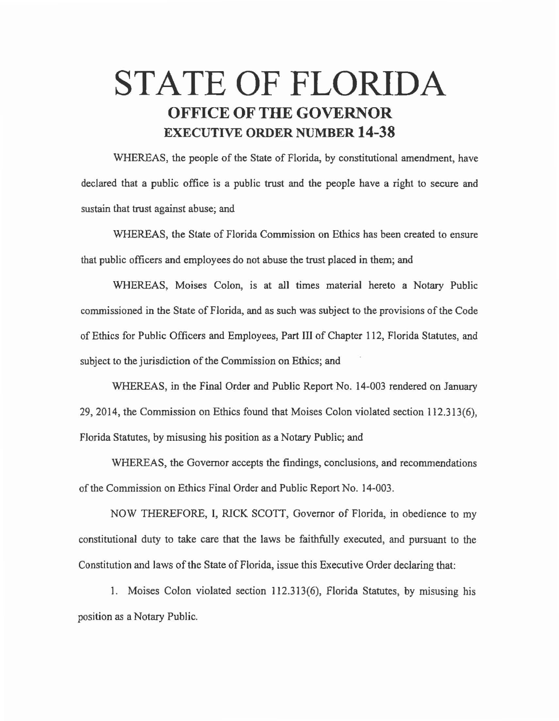## **STATE OF FLORIDA OFFICE OF THE GOVERNOR EXECUTIVE ORDER NUMBER 14-38**

WHEREAS, the people of the State of Florida, by constitutional amendment, have declared that a public office is a public trust and the people have a right to secure and sustain that trust against abuse; and

WHEREAS, the State of Florida Commission on Ethics has been created to ensure that public officers and employees do not abuse the trust placed in them; and

WHEREAS, Moises Colon, is at all times material hereto a Notary Public commissioned in the State of Florida, and as such was subject to the provisions of the Code of Ethics for Public Officers and Employees, Part III of Chapter 112, Florida Statutes, and subject to the jurisdiction of the Commission on Ethics; and

WHEREAS, in the Final Order and Public Report No. 14-003 rendered on January 29, 2014, the Commission on Ethics found that Moises Colon violated section 112.313(6), Florida Statutes, by misusing his position as a Notary Public; and

WHEREAS, the Governor accepts the findings, conclusions, and recommendations of the Commission on Ethics Final Order and Public Report No. 14-003.

NOW THEREFORE, I, RICK SCOTT, Governor of Florida, in obedience to my constitutional duty to take care that the laws be faithfully executed, and pursuant to the Constitution and laws of the State of Florida, issue this Executive Order declaring that:

1. Moises Colon violated section 112.313(6), Florida Statutes, by misusing his position as a Notary Public.